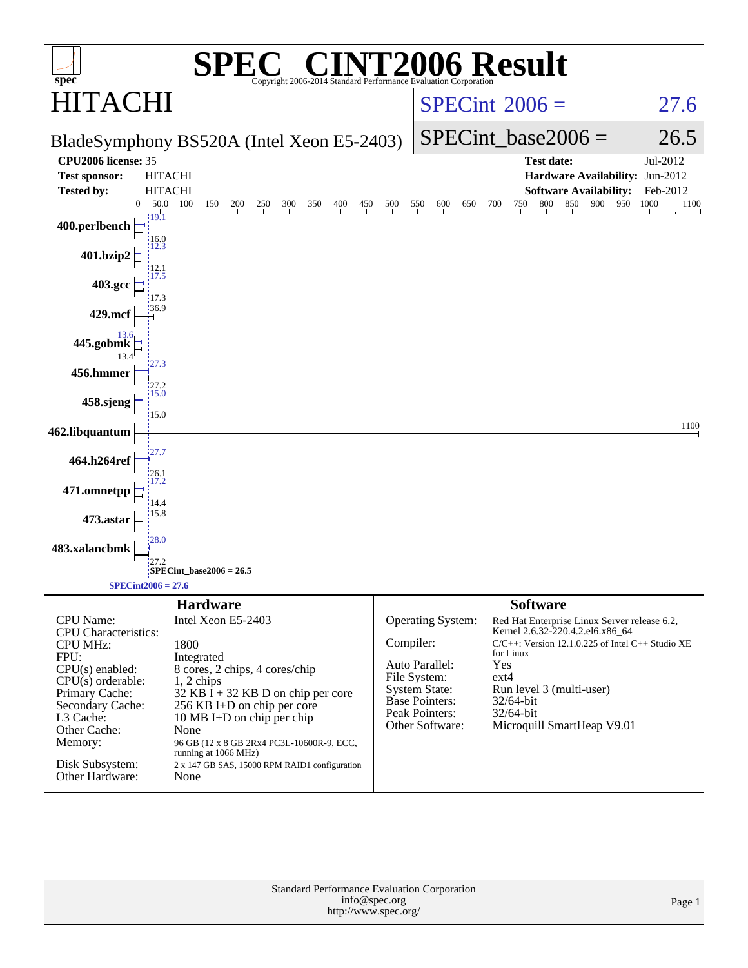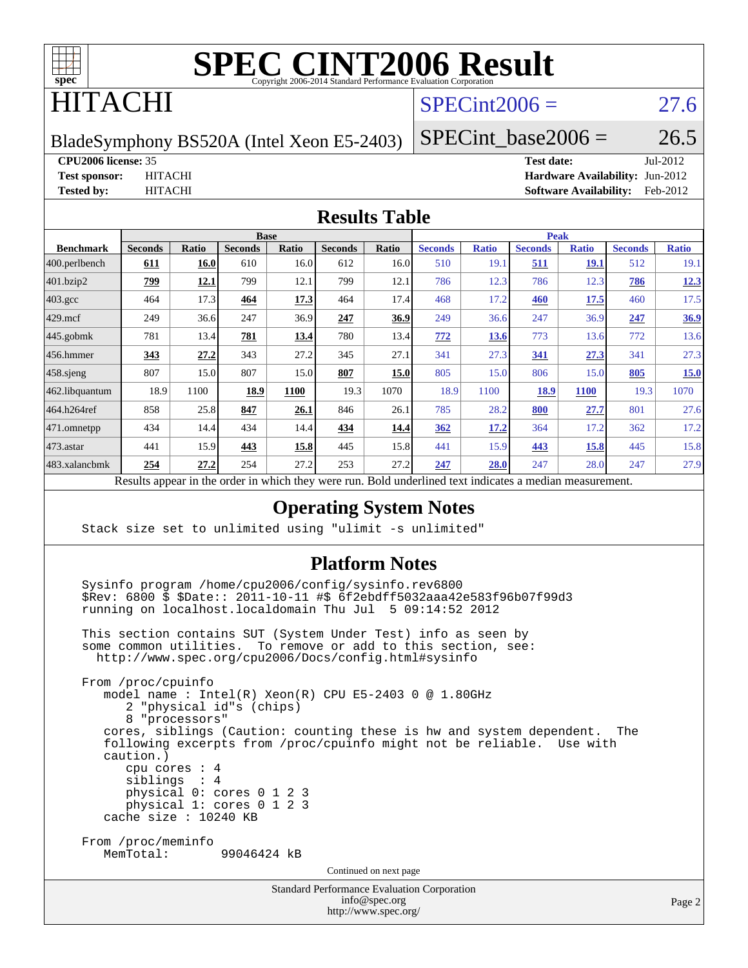

# ITACHI

## $SPECint2006 = 27.6$  $SPECint2006 = 27.6$

BladeSymphony BS520A (Intel Xeon E5-2403)

SPECint base2006 =  $26.5$ 

#### **[CPU2006 license:](http://www.spec.org/auto/cpu2006/Docs/result-fields.html#CPU2006license)** 35 **[Test date:](http://www.spec.org/auto/cpu2006/Docs/result-fields.html#Testdate)** Jul-2012

**[Test sponsor:](http://www.spec.org/auto/cpu2006/Docs/result-fields.html#Testsponsor)** HITACHI **[Hardware Availability:](http://www.spec.org/auto/cpu2006/Docs/result-fields.html#HardwareAvailability)** Jun-2012 **[Tested by:](http://www.spec.org/auto/cpu2006/Docs/result-fields.html#Testedby)** HITACHI **[Software Availability:](http://www.spec.org/auto/cpu2006/Docs/result-fields.html#SoftwareAvailability)** Feb-2012

#### **[Results Table](http://www.spec.org/auto/cpu2006/Docs/result-fields.html#ResultsTable)**

|                                     | <b>Base</b>    |              |                |             |                |             | <b>Peak</b>    |              |                |              |                |              |
|-------------------------------------|----------------|--------------|----------------|-------------|----------------|-------------|----------------|--------------|----------------|--------------|----------------|--------------|
| <b>Benchmark</b>                    | <b>Seconds</b> | <b>Ratio</b> | <b>Seconds</b> | Ratio       | <b>Seconds</b> | Ratio       | <b>Seconds</b> | <b>Ratio</b> | <b>Seconds</b> | <b>Ratio</b> | <b>Seconds</b> | <b>Ratio</b> |
| 400.perlbench                       | 611            | 16.0         | 610            | 16.0        | 612            | 16.0        | 510            | 19.1         | 511            | 19.1         | 512            | 19.1         |
| 401.bzip2                           | 799            | 12.1         | 799            | 12.1        | 799            | 12.1        | 786            | 12.3         | 786            | 12.3         | 786            | 12.3         |
| $403.\mathrm{gcc}$                  | 464            | 17.3         | 464            | 17.3        | 464            | 17.4        | 468            | 17.2         | 460            | 17.5         | 460            | 17.5         |
| $429$ .mcf                          | 249            | 36.6         | 247            | 36.9        | 247            | <u>36.9</u> | 249            | 36.6         | 247            | 36.9         | 247            | 36.9         |
| $445$ .gobmk                        | 781            | 13.4         | 781            | <u>13.4</u> | 780            | 13.4        | 772            | 13.6         | 773            | 13.6         | 772            | 13.6         |
| $456.$ hmmer                        | 343            | 27.2         | 343            | 27.2        | 345            | 27.1        | 341            | 27.3         | 341            | 27.3         | 341            | 27.3         |
| $458$ .sjeng                        | 807            | 15.0         | 807            | 15.0        | 807            | <u>15.0</u> | 805            | 15.0         | 806            | 15.0         | 805            | 15.0         |
| 462.libquantum                      | 18.9           | 1100         | 18.9           | 1100        | 19.3           | 1070        | 18.9           | 1100         | 18.9           | <b>1100</b>  | 19.3           | 1070         |
| 464.h264ref                         | 858            | 25.8         | 847            | 26.1        | 846            | 26.1        | 785            | 28.2         | 800            | 27.7         | 801            | 27.6         |
| 471.omnetpp                         | 434            | 14.4         | 434            | 14.4        | 434            | 14.4        | 362            | 17.2         | 364            | 17.2         | 362            | 17.2         |
| $473$ . astar                       | 441            | 15.9         | 443            | 15.8        | 445            | 15.8        | 441            | 15.9         | 443            | <u>15.8</u>  | 445            | 15.8         |
| 483.xalancbmk                       | 254            | 27.2         | 254            | 27.2        | 253            | 27.2        | 247            | 28.0         | 247            | 28.0         | 247            | 27.9         |
| $\mathbf{r}$<br>1.1<br>$\mathbf{1}$ |                |              |                |             |                |             |                |              |                |              |                |              |

Results appear in the [order in which they were run.](http://www.spec.org/auto/cpu2006/Docs/result-fields.html#RunOrder) Bold underlined text [indicates a median measurement.](http://www.spec.org/auto/cpu2006/Docs/result-fields.html#Median)

#### **[Operating System Notes](http://www.spec.org/auto/cpu2006/Docs/result-fields.html#OperatingSystemNotes)**

Stack size set to unlimited using "ulimit -s unlimited"

#### **[Platform Notes](http://www.spec.org/auto/cpu2006/Docs/result-fields.html#PlatformNotes)**

 Sysinfo program /home/cpu2006/config/sysinfo.rev6800 \$Rev: 6800 \$ \$Date:: 2011-10-11 #\$ 6f2ebdff5032aaa42e583f96b07f99d3 running on localhost.localdomain Thu Jul 5 09:14:52 2012

 This section contains SUT (System Under Test) info as seen by some common utilities. To remove or add to this section, see: <http://www.spec.org/cpu2006/Docs/config.html#sysinfo>

 From /proc/cpuinfo model name : Intel(R) Xeon(R) CPU E5-2403 0 @ 1.80GHz 2 "physical id"s (chips) 8 "processors" cores, siblings (Caution: counting these is hw and system dependent. The following excerpts from /proc/cpuinfo might not be reliable. Use with caution.) cpu cores : 4 siblings : 4 physical 0: cores 0 1 2 3 physical 1: cores 0 1 2 3 cache size : 10240 KB From /proc/meminfo<br>MemTotal: 99046424 kB Continued on next page

> Standard Performance Evaluation Corporation [info@spec.org](mailto:info@spec.org) <http://www.spec.org/>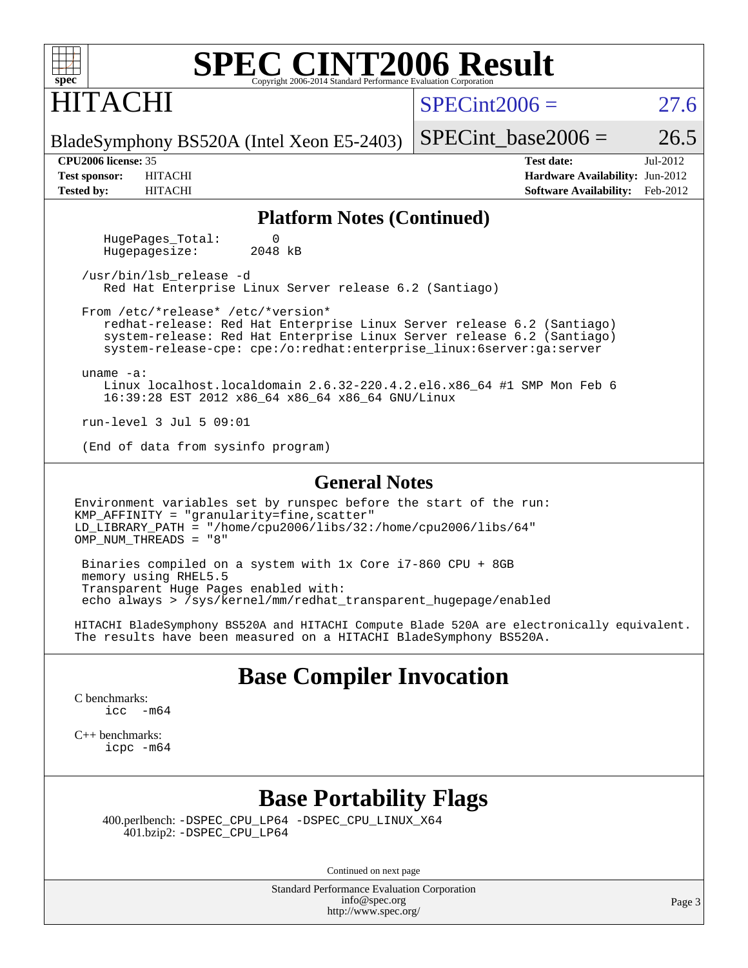| <b>SPEC CINT2006 Result</b><br>$spec^*$<br>Copyright 2006-2014 Standard Performance Evaluation Corporation |                                                                                   |              |  |  |                                   |                                        |          |  |  |  |
|------------------------------------------------------------------------------------------------------------|-----------------------------------------------------------------------------------|--------------|--|--|-----------------------------------|----------------------------------------|----------|--|--|--|
| <b>HITACHI</b>                                                                                             |                                                                                   |              |  |  | $SPECint2006 =$                   |                                        | 27.6     |  |  |  |
|                                                                                                            | BladeSymphony BS520A (Intel Xeon E5-2403)                                         |              |  |  |                                   | SPECint base2006 $=$                   | 26.5     |  |  |  |
| <b>CPU2006 license: 35</b>                                                                                 |                                                                                   |              |  |  |                                   | <b>Test date:</b>                      | Jul-2012 |  |  |  |
| <b>Test sponsor:</b>                                                                                       | <b>HITACHI</b>                                                                    |              |  |  |                                   | <b>Hardware Availability: Jun-2012</b> |          |  |  |  |
| <b>Tested by:</b>                                                                                          | <b>HITACHI</b>                                                                    |              |  |  |                                   | <b>Software Availability:</b>          | Feb-2012 |  |  |  |
|                                                                                                            |                                                                                   |              |  |  | <b>Platform Notes (Continued)</b> |                                        |          |  |  |  |
|                                                                                                            | HugePages Total:<br>Hugepagesize:                                                 | 0<br>2048 kB |  |  |                                   |                                        |          |  |  |  |
|                                                                                                            | /usr/bin/lsb release -d<br>Red Hat Enterprise Linux Server release 6.2 (Santiago) |              |  |  |                                   |                                        |          |  |  |  |

 redhat-release: Red Hat Enterprise Linux Server release 6.2 (Santiago) system-release: Red Hat Enterprise Linux Server release 6.2 (Santiago) system-release-cpe: cpe:/o:redhat:enterprise\_linux:6server:ga:server

Linux localhost.localdomain 2.6.32-220.4.2.el6.x86\_64 #1 SMP Mon Feb 6

Environment variables set by runspec before the start of the run: KMP\_AFFINITY = "granularity=fine,scatter" LD\_LIBRARY\_PATH = "/home/cpu2006/libs/32:/home/cpu2006/libs/64"

**[General Notes](http://www.spec.org/auto/cpu2006/Docs/result-fields.html#GeneralNotes)**

 Binaries compiled on a system with 1x Core i7-860 CPU + 8GB memory using RHEL5.5 Transparent Huge Pages enabled with: echo always > /sys/kernel/mm/redhat\_transparent\_hugepage/enabled

16:39:28 EST 2012 x86\_64 x86\_64 x86\_64 GNU/Linux

HITACHI BladeSymphony BS520A and HITACHI Compute Blade 520A are electronically equivalent. The results have been measured on a HITACHI BladeSymphony BS520A.

### **[Base Compiler Invocation](http://www.spec.org/auto/cpu2006/Docs/result-fields.html#BaseCompilerInvocation)**

[C benchmarks](http://www.spec.org/auto/cpu2006/Docs/result-fields.html#Cbenchmarks): [icc -m64](http://www.spec.org/cpu2006/results/res2012q3/cpu2006-20120828-24367.flags.html#user_CCbase_intel_icc_64bit_f346026e86af2a669e726fe758c88044)

uname -a:

run-level 3 Jul 5 09:01

OMP\_NUM\_THREADS = "8"

From /etc/\*release\* /etc/\*version\*

(End of data from sysinfo program)

[C++ benchmarks:](http://www.spec.org/auto/cpu2006/Docs/result-fields.html#CXXbenchmarks) [icpc -m64](http://www.spec.org/cpu2006/results/res2012q3/cpu2006-20120828-24367.flags.html#user_CXXbase_intel_icpc_64bit_fc66a5337ce925472a5c54ad6a0de310)

### **[Base Portability Flags](http://www.spec.org/auto/cpu2006/Docs/result-fields.html#BasePortabilityFlags)**

 400.perlbench: [-DSPEC\\_CPU\\_LP64](http://www.spec.org/cpu2006/results/res2012q3/cpu2006-20120828-24367.flags.html#b400.perlbench_basePORTABILITY_DSPEC_CPU_LP64) [-DSPEC\\_CPU\\_LINUX\\_X64](http://www.spec.org/cpu2006/results/res2012q3/cpu2006-20120828-24367.flags.html#b400.perlbench_baseCPORTABILITY_DSPEC_CPU_LINUX_X64) 401.bzip2: [-DSPEC\\_CPU\\_LP64](http://www.spec.org/cpu2006/results/res2012q3/cpu2006-20120828-24367.flags.html#suite_basePORTABILITY401_bzip2_DSPEC_CPU_LP64)

Continued on next page

Standard Performance Evaluation Corporation [info@spec.org](mailto:info@spec.org) <http://www.spec.org/>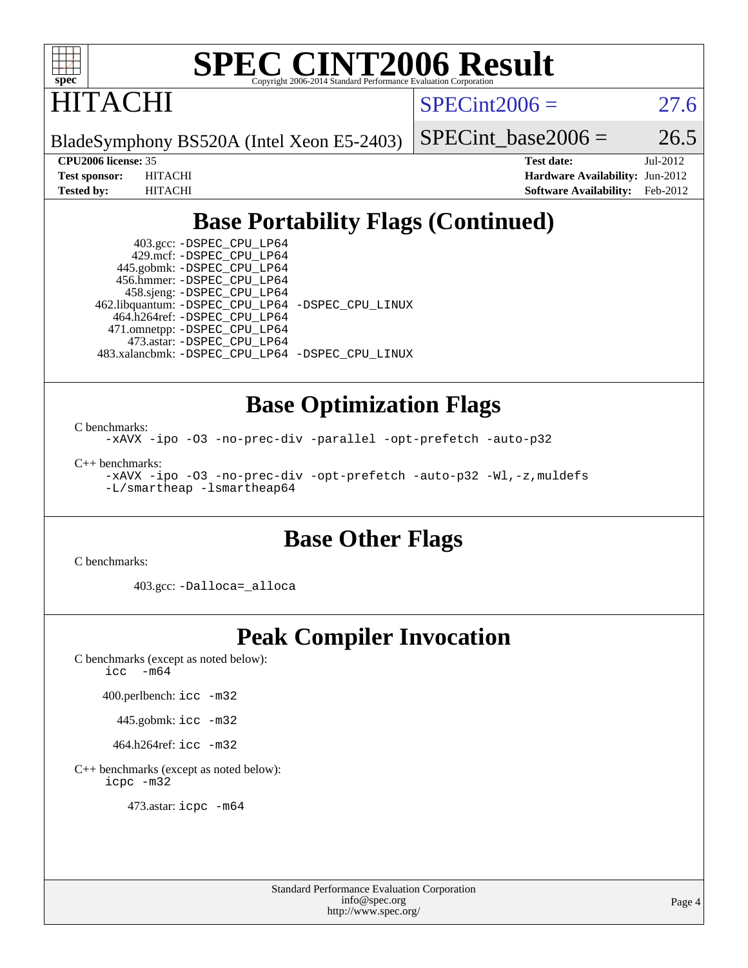

**ITACHI** 

 $SPECint2006 = 27.6$  $SPECint2006 = 27.6$ 

BladeSymphony BS520A (Intel Xeon E5-2403)

SPECint base2006 =  $26.5$ 

**[CPU2006 license:](http://www.spec.org/auto/cpu2006/Docs/result-fields.html#CPU2006license)** 35 **[Test date:](http://www.spec.org/auto/cpu2006/Docs/result-fields.html#Testdate)** Jul-2012 **[Test sponsor:](http://www.spec.org/auto/cpu2006/Docs/result-fields.html#Testsponsor)** HITACHI **[Hardware Availability:](http://www.spec.org/auto/cpu2006/Docs/result-fields.html#HardwareAvailability)** Jun-2012 **[Tested by:](http://www.spec.org/auto/cpu2006/Docs/result-fields.html#Testedby)** HITACHI **[Software Availability:](http://www.spec.org/auto/cpu2006/Docs/result-fields.html#SoftwareAvailability)** Feb-2012

# **[Base Portability Flags \(Continued\)](http://www.spec.org/auto/cpu2006/Docs/result-fields.html#BasePortabilityFlags)**

 403.gcc: [-DSPEC\\_CPU\\_LP64](http://www.spec.org/cpu2006/results/res2012q3/cpu2006-20120828-24367.flags.html#suite_basePORTABILITY403_gcc_DSPEC_CPU_LP64) 429.mcf: [-DSPEC\\_CPU\\_LP64](http://www.spec.org/cpu2006/results/res2012q3/cpu2006-20120828-24367.flags.html#suite_basePORTABILITY429_mcf_DSPEC_CPU_LP64) 445.gobmk: [-DSPEC\\_CPU\\_LP64](http://www.spec.org/cpu2006/results/res2012q3/cpu2006-20120828-24367.flags.html#suite_basePORTABILITY445_gobmk_DSPEC_CPU_LP64) 456.hmmer: [-DSPEC\\_CPU\\_LP64](http://www.spec.org/cpu2006/results/res2012q3/cpu2006-20120828-24367.flags.html#suite_basePORTABILITY456_hmmer_DSPEC_CPU_LP64) 458.sjeng: [-DSPEC\\_CPU\\_LP64](http://www.spec.org/cpu2006/results/res2012q3/cpu2006-20120828-24367.flags.html#suite_basePORTABILITY458_sjeng_DSPEC_CPU_LP64) 462.libquantum: [-DSPEC\\_CPU\\_LP64](http://www.spec.org/cpu2006/results/res2012q3/cpu2006-20120828-24367.flags.html#suite_basePORTABILITY462_libquantum_DSPEC_CPU_LP64) [-DSPEC\\_CPU\\_LINUX](http://www.spec.org/cpu2006/results/res2012q3/cpu2006-20120828-24367.flags.html#b462.libquantum_baseCPORTABILITY_DSPEC_CPU_LINUX) 464.h264ref: [-DSPEC\\_CPU\\_LP64](http://www.spec.org/cpu2006/results/res2012q3/cpu2006-20120828-24367.flags.html#suite_basePORTABILITY464_h264ref_DSPEC_CPU_LP64) 471.omnetpp: [-DSPEC\\_CPU\\_LP64](http://www.spec.org/cpu2006/results/res2012q3/cpu2006-20120828-24367.flags.html#suite_basePORTABILITY471_omnetpp_DSPEC_CPU_LP64) 473.astar: [-DSPEC\\_CPU\\_LP64](http://www.spec.org/cpu2006/results/res2012q3/cpu2006-20120828-24367.flags.html#suite_basePORTABILITY473_astar_DSPEC_CPU_LP64) 483.xalancbmk: [-DSPEC\\_CPU\\_LP64](http://www.spec.org/cpu2006/results/res2012q3/cpu2006-20120828-24367.flags.html#suite_basePORTABILITY483_xalancbmk_DSPEC_CPU_LP64) [-DSPEC\\_CPU\\_LINUX](http://www.spec.org/cpu2006/results/res2012q3/cpu2006-20120828-24367.flags.html#b483.xalancbmk_baseCXXPORTABILITY_DSPEC_CPU_LINUX)

### **[Base Optimization Flags](http://www.spec.org/auto/cpu2006/Docs/result-fields.html#BaseOptimizationFlags)**

[C benchmarks](http://www.spec.org/auto/cpu2006/Docs/result-fields.html#Cbenchmarks): [-xAVX](http://www.spec.org/cpu2006/results/res2012q3/cpu2006-20120828-24367.flags.html#user_CCbase_f-xAVX) [-ipo](http://www.spec.org/cpu2006/results/res2012q3/cpu2006-20120828-24367.flags.html#user_CCbase_f-ipo) [-O3](http://www.spec.org/cpu2006/results/res2012q3/cpu2006-20120828-24367.flags.html#user_CCbase_f-O3) [-no-prec-div](http://www.spec.org/cpu2006/results/res2012q3/cpu2006-20120828-24367.flags.html#user_CCbase_f-no-prec-div) [-parallel](http://www.spec.org/cpu2006/results/res2012q3/cpu2006-20120828-24367.flags.html#user_CCbase_f-parallel) [-opt-prefetch](http://www.spec.org/cpu2006/results/res2012q3/cpu2006-20120828-24367.flags.html#user_CCbase_f-opt-prefetch) [-auto-p32](http://www.spec.org/cpu2006/results/res2012q3/cpu2006-20120828-24367.flags.html#user_CCbase_f-auto-p32)

[C++ benchmarks:](http://www.spec.org/auto/cpu2006/Docs/result-fields.html#CXXbenchmarks) [-xAVX](http://www.spec.org/cpu2006/results/res2012q3/cpu2006-20120828-24367.flags.html#user_CXXbase_f-xAVX) [-ipo](http://www.spec.org/cpu2006/results/res2012q3/cpu2006-20120828-24367.flags.html#user_CXXbase_f-ipo) [-O3](http://www.spec.org/cpu2006/results/res2012q3/cpu2006-20120828-24367.flags.html#user_CXXbase_f-O3) [-no-prec-div](http://www.spec.org/cpu2006/results/res2012q3/cpu2006-20120828-24367.flags.html#user_CXXbase_f-no-prec-div) [-opt-prefetch](http://www.spec.org/cpu2006/results/res2012q3/cpu2006-20120828-24367.flags.html#user_CXXbase_f-opt-prefetch) [-auto-p32](http://www.spec.org/cpu2006/results/res2012q3/cpu2006-20120828-24367.flags.html#user_CXXbase_f-auto-p32) [-Wl,-z,muldefs](http://www.spec.org/cpu2006/results/res2012q3/cpu2006-20120828-24367.flags.html#user_CXXbase_link_force_multiple1_74079c344b956b9658436fd1b6dd3a8a) [-L/smartheap -lsmartheap64](http://www.spec.org/cpu2006/results/res2012q3/cpu2006-20120828-24367.flags.html#user_CXXbase_SmartHeap64_5e654037dadeae1fe403ab4b4466e60b)

## **[Base Other Flags](http://www.spec.org/auto/cpu2006/Docs/result-fields.html#BaseOtherFlags)**

[C benchmarks](http://www.spec.org/auto/cpu2006/Docs/result-fields.html#Cbenchmarks):

403.gcc: [-Dalloca=\\_alloca](http://www.spec.org/cpu2006/results/res2012q3/cpu2006-20120828-24367.flags.html#b403.gcc_baseEXTRA_CFLAGS_Dalloca_be3056838c12de2578596ca5467af7f3)

# **[Peak Compiler Invocation](http://www.spec.org/auto/cpu2006/Docs/result-fields.html#PeakCompilerInvocation)**

[C benchmarks \(except as noted below\)](http://www.spec.org/auto/cpu2006/Docs/result-fields.html#Cbenchmarksexceptasnotedbelow): [icc -m64](http://www.spec.org/cpu2006/results/res2012q3/cpu2006-20120828-24367.flags.html#user_CCpeak_intel_icc_64bit_f346026e86af2a669e726fe758c88044)

400.perlbench: [icc -m32](http://www.spec.org/cpu2006/results/res2012q3/cpu2006-20120828-24367.flags.html#user_peakCCLD400_perlbench_intel_icc_a6a621f8d50482236b970c6ac5f55f93)

445.gobmk: [icc -m32](http://www.spec.org/cpu2006/results/res2012q3/cpu2006-20120828-24367.flags.html#user_peakCCLD445_gobmk_intel_icc_a6a621f8d50482236b970c6ac5f55f93)

464.h264ref: [icc -m32](http://www.spec.org/cpu2006/results/res2012q3/cpu2006-20120828-24367.flags.html#user_peakCCLD464_h264ref_intel_icc_a6a621f8d50482236b970c6ac5f55f93)

[C++ benchmarks \(except as noted below\):](http://www.spec.org/auto/cpu2006/Docs/result-fields.html#CXXbenchmarksexceptasnotedbelow) [icpc -m32](http://www.spec.org/cpu2006/results/res2012q3/cpu2006-20120828-24367.flags.html#user_CXXpeak_intel_icpc_4e5a5ef1a53fd332b3c49e69c3330699)

473.astar: [icpc -m64](http://www.spec.org/cpu2006/results/res2012q3/cpu2006-20120828-24367.flags.html#user_peakCXXLD473_astar_intel_icpc_64bit_fc66a5337ce925472a5c54ad6a0de310)

Standard Performance Evaluation Corporation [info@spec.org](mailto:info@spec.org) <http://www.spec.org/>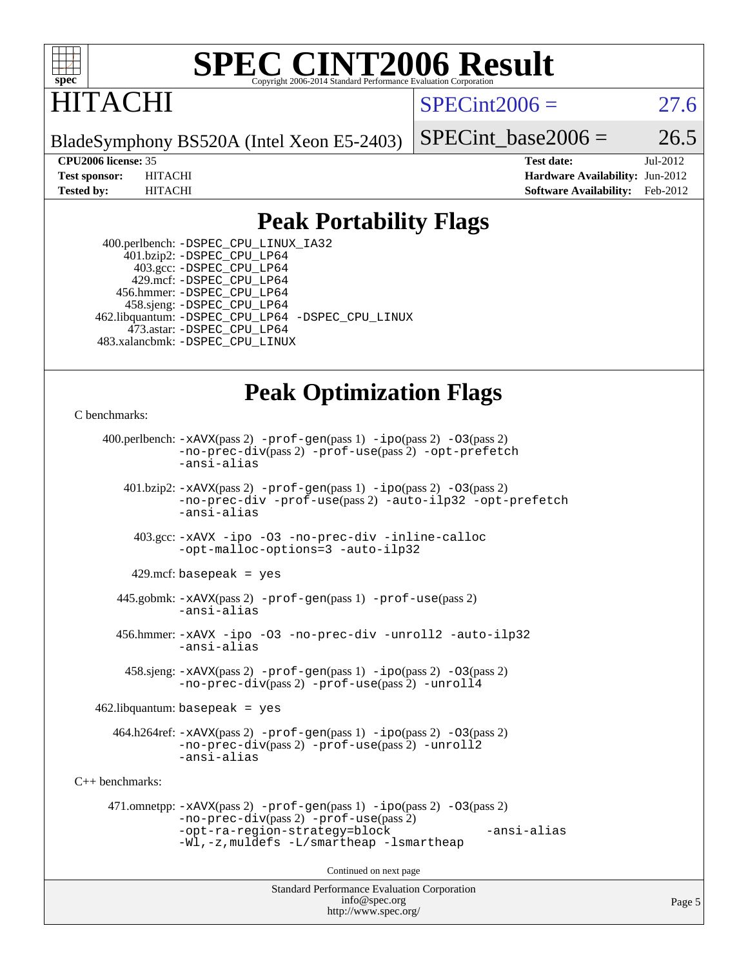

# ITACHI

 $SPECint2006 = 27.6$  $SPECint2006 = 27.6$ 

BladeSymphony BS520A (Intel Xeon E5-2403)

SPECint base2006 =  $26.5$ 

**[CPU2006 license:](http://www.spec.org/auto/cpu2006/Docs/result-fields.html#CPU2006license)** 35 **[Test date:](http://www.spec.org/auto/cpu2006/Docs/result-fields.html#Testdate)** Jul-2012 **[Test sponsor:](http://www.spec.org/auto/cpu2006/Docs/result-fields.html#Testsponsor)** HITACHI **[Hardware Availability:](http://www.spec.org/auto/cpu2006/Docs/result-fields.html#HardwareAvailability)** Jun-2012 **[Tested by:](http://www.spec.org/auto/cpu2006/Docs/result-fields.html#Testedby)** HITACHI **[Software Availability:](http://www.spec.org/auto/cpu2006/Docs/result-fields.html#SoftwareAvailability)** Feb-2012

### **[Peak Portability Flags](http://www.spec.org/auto/cpu2006/Docs/result-fields.html#PeakPortabilityFlags)**

 400.perlbench: [-DSPEC\\_CPU\\_LINUX\\_IA32](http://www.spec.org/cpu2006/results/res2012q3/cpu2006-20120828-24367.flags.html#b400.perlbench_peakCPORTABILITY_DSPEC_CPU_LINUX_IA32) 401.bzip2: [-DSPEC\\_CPU\\_LP64](http://www.spec.org/cpu2006/results/res2012q3/cpu2006-20120828-24367.flags.html#suite_peakPORTABILITY401_bzip2_DSPEC_CPU_LP64) 403.gcc: [-DSPEC\\_CPU\\_LP64](http://www.spec.org/cpu2006/results/res2012q3/cpu2006-20120828-24367.flags.html#suite_peakPORTABILITY403_gcc_DSPEC_CPU_LP64) 429.mcf: [-DSPEC\\_CPU\\_LP64](http://www.spec.org/cpu2006/results/res2012q3/cpu2006-20120828-24367.flags.html#suite_peakPORTABILITY429_mcf_DSPEC_CPU_LP64) 456.hmmer: [-DSPEC\\_CPU\\_LP64](http://www.spec.org/cpu2006/results/res2012q3/cpu2006-20120828-24367.flags.html#suite_peakPORTABILITY456_hmmer_DSPEC_CPU_LP64) 458.sjeng: [-DSPEC\\_CPU\\_LP64](http://www.spec.org/cpu2006/results/res2012q3/cpu2006-20120828-24367.flags.html#suite_peakPORTABILITY458_sjeng_DSPEC_CPU_LP64) 462.libquantum: [-DSPEC\\_CPU\\_LP64](http://www.spec.org/cpu2006/results/res2012q3/cpu2006-20120828-24367.flags.html#suite_peakPORTABILITY462_libquantum_DSPEC_CPU_LP64) [-DSPEC\\_CPU\\_LINUX](http://www.spec.org/cpu2006/results/res2012q3/cpu2006-20120828-24367.flags.html#b462.libquantum_peakCPORTABILITY_DSPEC_CPU_LINUX) 473.astar: [-DSPEC\\_CPU\\_LP64](http://www.spec.org/cpu2006/results/res2012q3/cpu2006-20120828-24367.flags.html#suite_peakPORTABILITY473_astar_DSPEC_CPU_LP64) 483.xalancbmk: [-DSPEC\\_CPU\\_LINUX](http://www.spec.org/cpu2006/results/res2012q3/cpu2006-20120828-24367.flags.html#b483.xalancbmk_peakCXXPORTABILITY_DSPEC_CPU_LINUX)

# **[Peak Optimization Flags](http://www.spec.org/auto/cpu2006/Docs/result-fields.html#PeakOptimizationFlags)**

[C benchmarks](http://www.spec.org/auto/cpu2006/Docs/result-fields.html#Cbenchmarks):

```
Standard Performance Evaluation Corporation
                                          info@spec.org
     400.perlbench: -xAVX(pass 2) -prof-gen(pass 1) -ipo(pass 2) -O3(pass 2)
                -no-prec-div(pass 2) -prof-use(pass 2) -opt-prefetch
                -ansi-alias
        401.bzip2: -xAVX(pass 2) -prof-gen(pass 1) -ipo(pass 2) -O3(pass 2)
                -no-prec-div -prof-use(pass 2) -auto-ilp32 -opt-prefetch
                -ansi-alias
          403.gcc: -xAVX -ipo -O3 -no-prec-div -inline-calloc
                -opt-malloc-options=3 -auto-ilp32
         429.mcf: basepeak = yes
       445.gobmk: -xAVX(pass 2) -prof-gen(pass 1) -prof-use(pass 2)
                -ansi-alias
       456.hmmer: -xAVX -ipo -O3 -no-prec-div -unroll2 -auto-ilp32
                -ansi-alias
         458.sjeng: -xAVX(pass 2) -prof-gen(pass 1) -ipo(pass 2) -O3(pass 2)
                -no-prec-div(pass 2) -prof-use(pass 2) -unroll4
    462.libquantum: basepeak = yes
       464.h264ref: -xAVX(pass 2) -prof-gen(pass 1) -ipo(pass 2) -O3(pass 2)
                -no-prec-div(pass 2) -prof-use(pass 2) -unroll2
                -ansi-alias
C++ benchmarks: 
      471.omnetpp: -xAVX(pass 2) -prof-gen(pass 1) -ipo(pass 2) -O3(pass 2)
                -no-prec-div(pass 2) -prof-use(pass 2)
                -opt-ra-region-strategy=block -ansi-alias
                -Wl,-z,muldefs -L/smartheap -lsmartheap
                                        Continued on next page
```
<http://www.spec.org/>